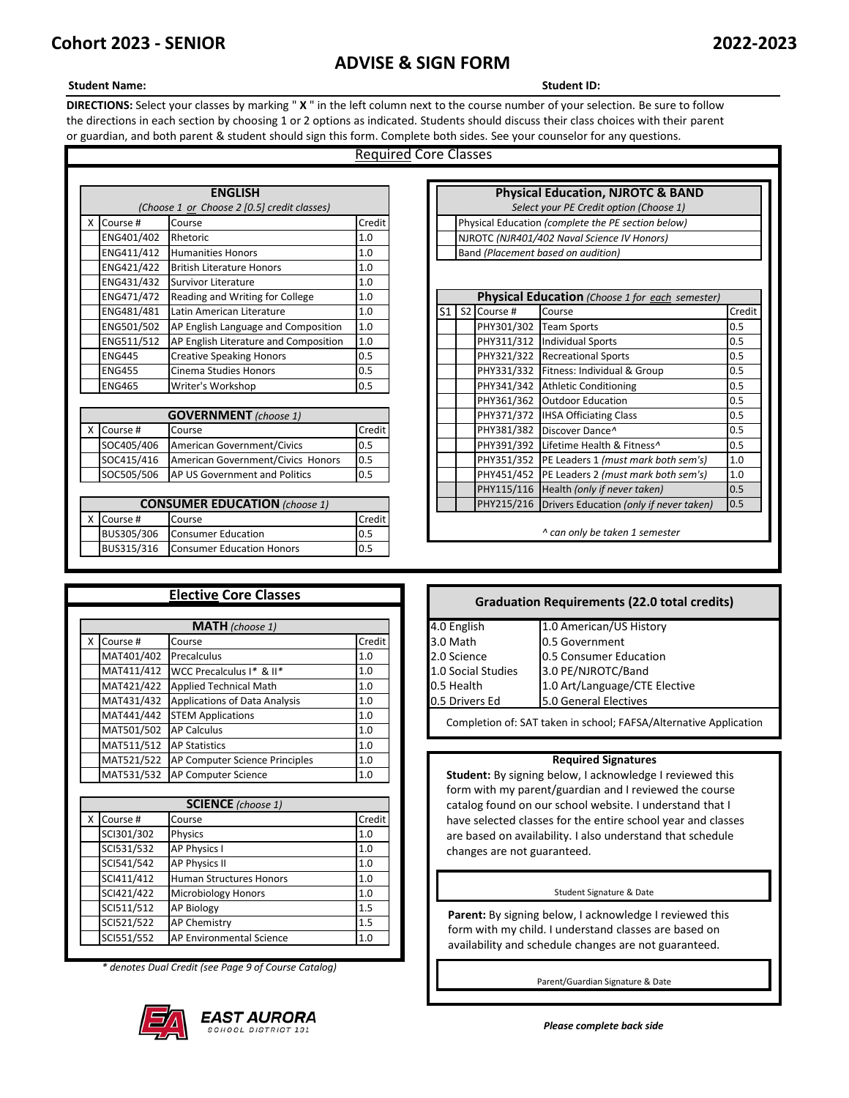# **Cohort 2023 - SENIOR 2022-2023**

# **ADVISE & SIGN FORM**

## **Student Name: Student ID:**

**DIRECTIONS:** Select your classes by marking " **X** " in the left column next to the course number of your selection. Be sure to follow the directions in each section by choosing 1 or 2 options as indicated. Students should discuss their class choices with their parent or guardian, and both parent & student should sign this form. Complete both sides. See your counselor for any questions.

# Required Core Classes

|   |               | <b>ENGLISH</b>                              |        |                |                         | <b>Physical Education, NJROTC &amp; BA</b>         |
|---|---------------|---------------------------------------------|--------|----------------|-------------------------|----------------------------------------------------|
|   |               | (Choose 1 or Choose 2 [0.5] credit classes) |        |                |                         | Select your PE Credit option (Choose 1)            |
| X | Course #      | Course                                      | Credit |                |                         | Physical Education (complete the PE section below) |
|   | ENG401/402    | Rhetoric                                    | 1.0    |                |                         | NJROTC (NJR401/402 Naval Science IV Honors)        |
|   | ENG411/412    | <b>Humanities Honors</b>                    | 1.0    |                |                         | Band (Placement based on audition)                 |
|   | ENG421/422    | <b>British Literature Honors</b>            | 1.0    |                |                         |                                                    |
|   | ENG431/432    | Survivor Literature                         | 1.0    |                |                         |                                                    |
|   | ENG471/472    | Reading and Writing for College             | 1.0    |                |                         | Physical Education (Choose 1 for each sea          |
|   | ENG481/481    | Latin American Literature                   | 1.0    | S <sub>1</sub> | S <sub>2</sub> Course # | Course                                             |
|   | ENG501/502    | AP English Language and Composition         | 1.0    |                | PHY301/302              | <b>Team Sports</b>                                 |
|   | ENG511/512    | AP English Literature and Composition       | 1.0    |                | PHY311/312              | <b>Individual Sports</b>                           |
|   | <b>ENG445</b> | <b>Creative Speaking Honors</b>             | 0.5    |                | PHY321/322              | <b>Recreational Sports</b>                         |
|   | <b>ENG455</b> | Cinema Studies Honors                       | 0.5    |                | PHY331/332              | Fitness: Individual & Group                        |
|   | <b>ENG465</b> | Writer's Workshop                           | 0.5    |                | PHY341/342              | <b>Athletic Conditioning</b>                       |
|   |               |                                             |        |                | PHY361/362              | <b>Outdoor Education</b>                           |
|   |               | <b>GOVERNMENT</b> (choose 1)                |        |                | PHY371/372              | <b>IHSA Officiating Class</b>                      |
| x | Course #      | Course                                      | Credit |                | PHY381/382              | Discover Dance <sup>^</sup>                        |
|   | SOC405/406    | American Government/Civics                  | 0.5    |                | PHY391/392              | Lifetime Health & Fitness <sup>^</sup>             |
|   | SOC415/416    | American Government/Civics Honors           | 0.5    |                | PHY351/352              | PE Leaders 1 (must mark both se                    |
|   | SOC505/506    | AP US Government and Politics               | 0.5    |                |                         | PHY451/452 PE Leaders 2 (must mark both se         |
|   |               |                                             |        |                |                         |                                                    |

# Course # Course Course Credit BUS305/306 Consumer Education 0.5 *^ can only be taken 1 semester* BUS315/316 Consumer Education Honors 0.5 **CONSUMER EDUCATION** *(choose 1)*

**Elective Core Classes**

| LIECUVE COLE CIASSES   |            |                                      |               | <b>Graduation Requirements (22.0 total of</b> |                    |                                                     |  |  |
|------------------------|------------|--------------------------------------|---------------|-----------------------------------------------|--------------------|-----------------------------------------------------|--|--|
| <b>MATH</b> (choose 1) |            |                                      |               |                                               | 4.0 English        | 1.0 American/US History                             |  |  |
|                        | X Course # | Course                               | <b>Credit</b> |                                               | 3.0 Math           | 0.5 Government                                      |  |  |
|                        | MAT401/402 | Precalculus                          | 1.0           |                                               | 2.0 Science        | 0.5 Consumer Education                              |  |  |
|                        | MAT411/412 | WCC Precalculus I* & II*             | 1.0           |                                               | 1.0 Social Studies | 3.0 PE/NJROTC/Band                                  |  |  |
|                        | MAT421/422 | <b>Applied Technical Math</b>        | 1.0           |                                               | 0.5 Health         | 1.0 Art/Language/CTE Elective                       |  |  |
|                        | MAT431/432 | <b>Applications of Data Analysis</b> | 1.0           |                                               | 0.5 Drivers Ed     | 5.0 General Electives                               |  |  |
|                        | MAT441/442 | <b>STEM Applications</b>             | 1.0           |                                               |                    | Completion of: SAT taken in school; FAFSA/Alternati |  |  |
|                        | MAT501/502 | <b>AP Calculus</b>                   | 1.0           |                                               |                    |                                                     |  |  |
|                        | MAT511/512 | <b>AP Statistics</b>                 | 1.0           |                                               |                    |                                                     |  |  |
|                        | MAT521/522 | AP Computer Science Principles       | 1.0           |                                               |                    | <b>Required Signatures</b>                          |  |  |
|                        | MAT531/532 | <b>AP Computer Science</b>           | 1.0           |                                               |                    | Student: By signing below, I acknowledge I reviev   |  |  |

| <b>SCIENCE</b> (choose 1) |            |                                |        |  |  |  |
|---------------------------|------------|--------------------------------|--------|--|--|--|
|                           | X Course # | Course                         | Credit |  |  |  |
|                           | SCI301/302 | Physics                        | 1.0    |  |  |  |
|                           | SCI531/532 | <b>AP Physics I</b>            | 1.0    |  |  |  |
|                           | SCI541/542 | <b>AP Physics II</b>           | 1.0    |  |  |  |
|                           | SCI411/412 | <b>Human Structures Honors</b> | 1.0    |  |  |  |
|                           | SCI421/422 | <b>Microbiology Honors</b>     | 1.0    |  |  |  |
|                           | SCI511/512 | <b>AP Biology</b>              | 1.5    |  |  |  |
|                           | SCI521/522 | <b>AP Chemistry</b>            | 1.5    |  |  |  |
|                           | SCI551/552 | AP Environmental Science       | 1.0    |  |  |  |

*\* denotes Dual Credit (see Page 9 of Course Catalog)*



|               | (Choose 1 or Choose 2 [0.5] credit classes) |        |                                             |  |                    | Select your PE Credit option (Choose 1)            |        |  |  |
|---------------|---------------------------------------------|--------|---------------------------------------------|--|--------------------|----------------------------------------------------|--------|--|--|
| Course #      | Course                                      | Credit |                                             |  |                    | Physical Education (complete the PE section below) |        |  |  |
| ENG401/402    | Rhetoric                                    | 1.0    | NJROTC (NJR401/402 Naval Science IV Honors) |  |                    |                                                    |        |  |  |
| ENG411/412    | <b>Humanities Honors</b>                    | 1.0    | Band (Placement based on audition)          |  |                    |                                                    |        |  |  |
| ENG421/422    | <b>British Literature Honors</b>            | 1.0    |                                             |  |                    |                                                    |        |  |  |
| ENG431/432    | Survivor Literature                         | 1.0    |                                             |  |                    |                                                    |        |  |  |
| ENG471/472    | Reading and Writing for College             | 1.0    |                                             |  |                    | Physical Education (Choose 1 for each semester)    |        |  |  |
| ENG481/481    | Latin American Literature                   | 1.0    |                                             |  | S1   S2   Course # | Course                                             | Credit |  |  |
| ENG501/502    | AP English Language and Composition         | 1.0    |                                             |  | PHY301/302         | <b>Team Sports</b>                                 | 0.5    |  |  |
| ENG511/512    | AP English Literature and Composition       | 1.0    |                                             |  | PHY311/312         | <b>Individual Sports</b>                           | 0.5    |  |  |
| <b>ENG445</b> | <b>Creative Speaking Honors</b>             | 0.5    |                                             |  | PHY321/322         | <b>Recreational Sports</b>                         | 0.5    |  |  |
| <b>ENG455</b> | Cinema Studies Honors                       | 0.5    |                                             |  |                    | PHY331/332 Fitness: Individual & Group             | 0.5    |  |  |
| <b>ENG465</b> | Writer's Workshop                           | 0.5    |                                             |  | PHY341/342         | <b>Athletic Conditioning</b>                       | 0.5    |  |  |
|               |                                             |        |                                             |  | PHY361/362         | <b>Outdoor Education</b>                           | 0.5    |  |  |
|               | <b>GOVERNMENT</b> (choose 1)                |        |                                             |  | PHY371/372         | <b>IHSA Officiating Class</b>                      | 0.5    |  |  |
| Course #      | Course                                      | Credit |                                             |  | PHY381/382         | Discover Dance <sup>^</sup>                        | 0.5    |  |  |
| SOC405/406    | American Government/Civics                  | 0.5    |                                             |  | PHY391/392         | Lifetime Health & Fitness^                         | 0.5    |  |  |
| SOC415/416    | American Government/Civics Honors           | 0.5    |                                             |  |                    | PHY351/352 PE Leaders 1 (must mark both sem's)     | 1.0    |  |  |
| SOC505/506    | AP US Government and Politics               | 0.5    |                                             |  |                    | PHY451/452 PE Leaders 2 (must mark both sem's)     | 1.0    |  |  |
|               |                                             |        |                                             |  |                    | PHY115/116 Health (only if never taken)            | 0.5    |  |  |
|               | <b>CONSUMER EDUCATION</b> (choose 1)        |        |                                             |  |                    | PHY215/216 Drivers Education (only if never taken) | 0.5    |  |  |

**Physical Education, NJROTC & BAND**

## **Graduation Requirements (22.0 total credits)**

| 4.0 English        | 1.0 American/US History       |
|--------------------|-------------------------------|
| 3.0 Math           | 0.5 Government                |
| 2.0 Science        | 0.5 Consumer Education        |
| 1.0 Social Studies | 3.0 PE/NJROTC/Band            |
| 0.5 Health         | 1.0 Art/Language/CTE Elective |
| 0.5 Drivers Ed     | 5.0 General Electives         |
|                    |                               |

Completion of: SAT taken in school; FAFSA/Alternative Application

### **Required Signatures**

**Student:** By signing below, I acknowledge I reviewed this form with my parent/guardian and I reviewed the course catalog found on our school website. I understand that I have selected classes for the entire school year and classes are based on availability. I also understand that schedule changes are not guaranteed.

### Student Signature & Date

Parent: By signing below, I acknowledge I reviewed this form with my child. I understand classes are based on availability and schedule changes are not guaranteed.

Parent/Guardian Signature & Date